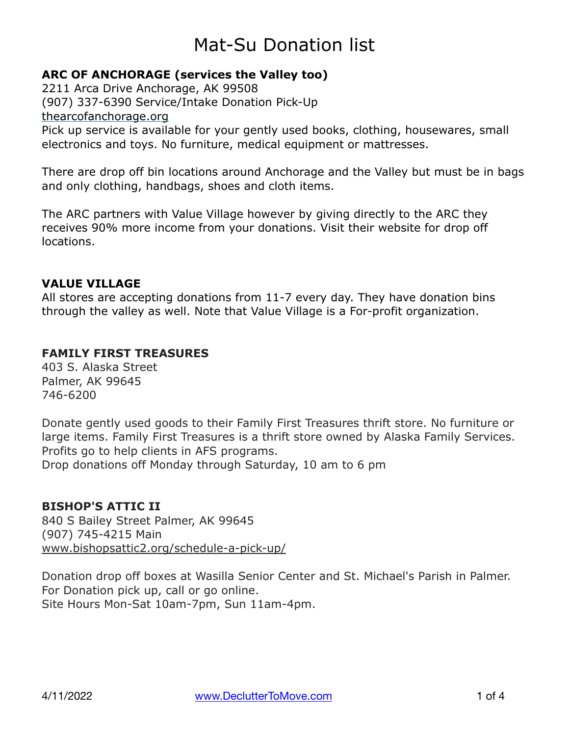### **ARC OF ANCHORAGE (services the Valley too)**

2211 Arca Drive Anchorage, AK 99508 (907) 337-6390 Service/Intake Donation Pick-Up [thearcofanchorage.org](https://l.facebook.com/l.php?u=http%3A%2F%2Fthearcofanchorage.org%2F%3Ffbclid%3DIwAR1sRXsRAFcUfJUXc9TWnSw60SngefS4wayLoVSK8Rq5pXkCDVrdmmWSyKo&h=AT2Uus_VklrD8C5aSM71iWPsFM6MsL4ccUSHSF5yRnF-Vhn9ezeusoJl3LutpdViK3J584Kl1axhqLI_bmmFXNYo6c9-ekt25fujCiWvhTUSdSFW310ZyHFDtYFKn3GW6HnIrpSjm2HCo3FbJGbXlidJljugjIjwqkoZjLq-J2dEuF8Gfo-AnteCKDCfUjHdj8eIY-aiH8qCVtiMlu7nLewRXg2Kpi7fHagBK1VFG9lnlykdtKFvXm3o1COYAv7TZ8kwQckwYRxpJNIHyaDAjn4BSpP6Nw9MTJA6nqlT7miqQM7wATPjm1jDEYxwB6RHzbcWZ5nnwRNjhG8wCmrAoXLKwhb3J43BeivjYA18380ixQe4SBkTg5DqL0-Mlcn4v1i-UY2hWXyfeonuBTCjkuHhQTtEtLYZ-Mb6NQQtR4ci-mc40-kX2grw18gDlReKnytJodPXjaffMsfLzTBxnM2X1tWY5z2BK_j7cOjO8_zy3OBP5rMHrn81tqZBJqESkH0lm8lNbM9n5E-oVP2uDvNW4prImFX64V-cpkUJ51u1dzio9stmTQ4OBQs6-A9jP24dwxUegQFuRMF05c9OGhwQCZElVwkgHUhqSfeYha49St_dq89kDQiNNZnaDLs) Pick up service is available for your gently used books, clothing, housewares, small electronics and toys. No furniture, medical equipment or mattresses.

There are drop off bin locations around Anchorage and the Valley but must be in bags and only clothing, handbags, shoes and cloth items.

The ARC partners with Value Village however by giving directly to the ARC they receives 90% more income from your donations. Visit their website for drop off locations.

#### **VALUE VILLAGE**

All stores are accepting donations from 11-7 every day. They have donation bins through the valley as well. Note that Value Village is a For-profit organization.

#### **FAMILY FIRST TREASURES**

403 S. Alaska Street Palmer, AK 99645 746-6200

Donate gently used goods to their Family First Treasures thrift store. No furniture or large items. Family First Treasures is a thrift store owned by Alaska Family Services. Profits go to help clients in AFS programs. Drop donations off Monday through Saturday, 10 am to 6 pm

#### **BISHOP'S ATTIC II**

840 S Bailey Street Palmer, AK 99645 (907) 745-4215 Main [www.bishopsattic2.org/schedule-a-pick-up/](http://www.bishopsattic2.org/schedule-a-pick-up/)

Donation drop off boxes at Wasilla Senior Center and St. Michael's Parish in Palmer. For Donation pick up, call or go online. Site Hours Mon-Sat 10am-7pm, Sun 11am-4pm.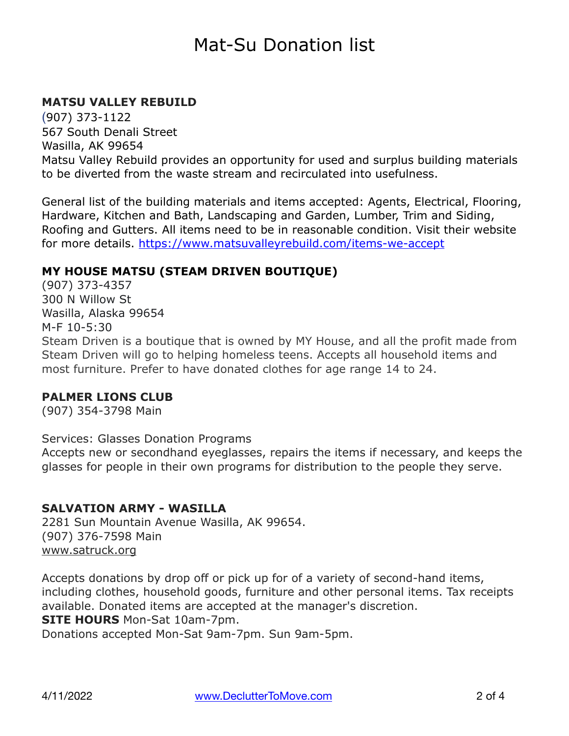### **MATSU VALLEY REBUILD**

(907) 373-1122 567 South Denali Street Wasilla, AK 99654 Matsu Valley Rebuild provides an opportunity for used and surplus building materials to be diverted from the waste stream and recirculated into usefulness.

General list of the building materials and items accepted: Agents, Electrical, Flooring, Hardware, Kitchen and Bath, Landscaping and Garden, Lumber, Trim and Siding, Roofing and Gutters. All items need to be in reasonable condition. Visit their website for more details.<https://www.matsuvalleyrebuild.com/items-we-accept>

#### **MY HOUSE MATSU (STEAM DRIVEN BOUTIQUE)**

(907) 373-4357 300 N Willow St Wasilla, Alaska 99654 M-F 10-5:30 Steam Driven is a boutique that is owned by MY House, and all the profit made from Steam Driven will go to helping homeless teens. Accepts all household items and most furniture. Prefer to have donated clothes for age range 14 to 24.

#### **PALMER LIONS CLUB**

(907) 354-3798 Main

#### Services: Glasses Donation Programs

Accepts new or secondhand eyeglasses, repairs the items if necessary, and keeps the glasses for people in their own programs for distribution to the people they serve.

#### **SALVATION ARMY - WASILLA**

2281 Sun Mountain Avenue Wasilla, AK 99654. (907) 376-7598 Main [www.satruck.org](http://www.satruck.org)

Accepts donations by drop off or pick up for of a variety of second-hand items, including clothes, household goods, furniture and other personal items. Tax receipts available. Donated items are accepted at the manager's discretion. **SITE HOURS** Mon-Sat 10am-7pm.

Donations accepted Mon-Sat 9am-7pm. Sun 9am-5pm.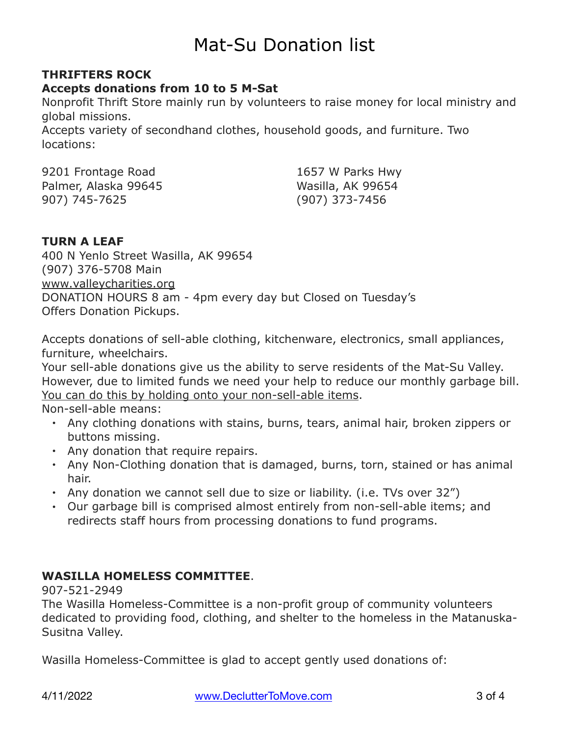## **THRIFTERS ROCK**

**Accepts donations from 10 to 5 M-Sat**

Nonprofit Thrift Store mainly run by volunteers to raise money for local ministry and global missions.

Accepts variety of secondhand clothes, household goods, and furniture. Two locations:

9201 Frontage Road Palmer, Alaska 99645 907) 745-7625

1657 W Parks Hwy Wasilla, AK 99654 (907) 373-7456

### **TURN A LEAF**

400 N Yenlo Street Wasilla, AK 99654 (907) 376-5708 Main [www.valleycharities.org](http://www.valleycharities.org) DONATION HOURS 8 am - 4pm every day but Closed on Tuesday's Offers Donation Pickups.

Accepts donations of sell-able clothing, kitchenware, electronics, small appliances, furniture, wheelchairs.

Your sell-able donations give us the ability to serve residents of the Mat-Su Valley. However, due to limited funds we need your help to reduce our monthly garbage bill. You can do this by holding onto your non-sell-able items.

Non-sell-able means:

- Any clothing donations with stains, burns, tears, animal hair, broken zippers or buttons missing.
- Any donation that require repairs.
- Any Non-Clothing donation that is damaged, burns, torn, stained or has animal hair.
- Any donation we cannot sell due to size or liability. (i.e. TVs over 32")
- Our garbage bill is comprised almost entirely from non-sell-able items; and redirects staff hours from processing donations to fund programs.

### **WASILLA HOMELESS COMMITTEE**.

907-521-2949

The Wasilla Homeless-Committee is a non-profit group of community volunteers dedicated to providing food, clothing, and shelter to the homeless in the Matanuska-Susitna Valley.

Wasilla Homeless-Committee is glad to accept gently used donations of: